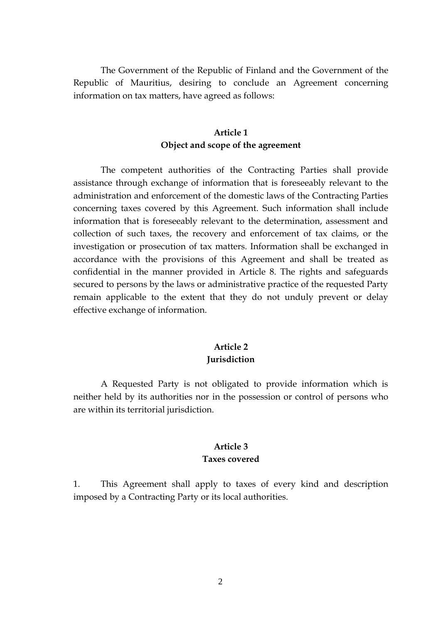The Government of the Republic of Finland and the Government of the Republic of Mauritius, desiring to conclude an Agreement concerning information on tax matters, have agreed as follows:

## **Article 1 Object and scope of the agreement**

The competent authorities of the Contracting Parties shall provide assistance through exchange of information that is foreseeably relevant to the administration and enforcement of the domestic laws of the Contracting Parties concerning taxes covered by this Agreement. Such information shall include information that is foreseeably relevant to the determination, assessment and collection of such taxes, the recovery and enforcement of tax claims, or the investigation or prosecution of tax matters. Information shall be exchanged in accordance with the provisions of this Agreement and shall be treated as confidential in the manner provided in Article 8. The rights and safeguards secured to persons by the laws or administrative practice of the requested Party remain applicable to the extent that they do not unduly prevent or delay effective exchange of information.

### **Article 2 Jurisdiction**

A Requested Party is not obligated to provide information which is neither held by its authorities nor in the possession or control of persons who are within its territorial jurisdiction.

### **Article 3 Taxes covered**

1. This Agreement shall apply to taxes of every kind and description imposed by a Contracting Party or its local authorities.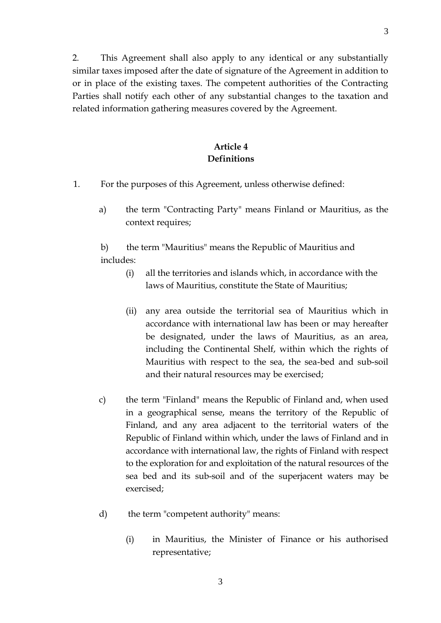2. This Agreement shall also apply to any identical or any substantially similar taxes imposed after the date of signature of the Agreement in addition to or in place of the existing taxes. The competent authorities of the Contracting Parties shall notify each other of any substantial changes to the taxation and related information gathering measures covered by the Agreement.

## **Article 4 Definitions**

- 1. For the purposes of this Agreement, unless otherwise defined:
	- a) the term "Contracting Party" means Finland or Mauritius, as the context requires;

b) the term "Mauritius" means the Republic of Mauritius and includes:

- (i) all the territories and islands which, in accordance with the laws of Mauritius, constitute the State of Mauritius;
- (ii) any area outside the territorial sea of Mauritius which in accordance with international law has been or may hereafter be designated, under the laws of Mauritius, as an area, including the Continental Shelf, within which the rights of Mauritius with respect to the sea, the sea-bed and sub-soil and their natural resources may be exercised;
- c) the term "Finland" means the Republic of Finland and, when used in a geographical sense, means the territory of the Republic of Finland, and any area adjacent to the territorial waters of the Republic of Finland within which, under the laws of Finland and in accordance with international law, the rights of Finland with respect to the exploration for and exploitation of the natural resources of the sea bed and its sub-soil and of the superjacent waters may be exercised;
- d) the term "competent authority" means:
	- (i) in Mauritius, the Minister of Finance or his authorised representative;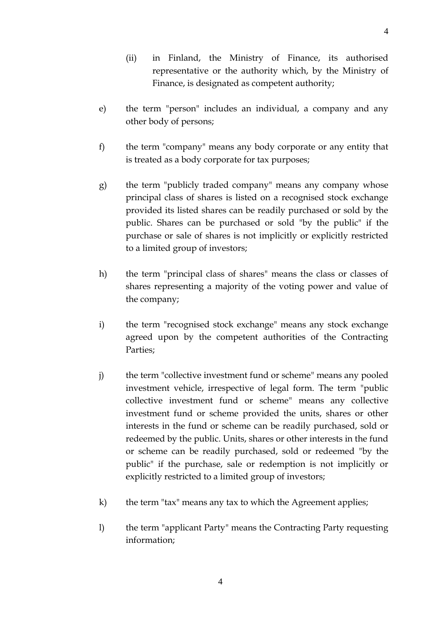- (ii) in Finland, the Ministry of Finance, its authorised representative or the authority which, by the Ministry of Finance, is designated as competent authority;
- e) the term "person" includes an individual, a company and any other body of persons;
- f) the term "company" means any body corporate or any entity that is treated as a body corporate for tax purposes;
- g) the term "publicly traded company" means any company whose principal class of shares is listed on a recognised stock exchange provided its listed shares can be readily purchased or sold by the public. Shares can be purchased or sold "by the public" if the purchase or sale of shares is not implicitly or explicitly restricted to a limited group of investors;
- h) the term "principal class of shares" means the class or classes of shares representing a majority of the voting power and value of the company;
- i) the term "recognised stock exchange" means any stock exchange agreed upon by the competent authorities of the Contracting Parties;
- j) the term "collective investment fund or scheme" means any pooled investment vehicle, irrespective of legal form. The term "public collective investment fund or scheme" means any collective investment fund or scheme provided the units, shares or other interests in the fund or scheme can be readily purchased, sold or redeemed by the public. Units, shares or other interests in the fund or scheme can be readily purchased, sold or redeemed "by the public" if the purchase, sale or redemption is not implicitly or explicitly restricted to a limited group of investors;
- k) the term "tax" means any tax to which the Agreement applies;
- l) the term "applicant Party" means the Contracting Party requesting information;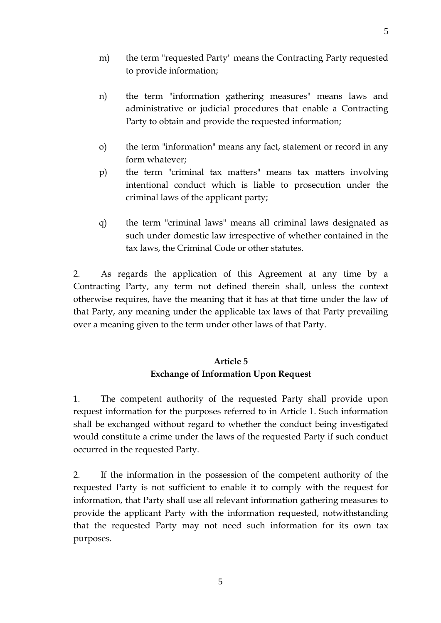- m) the term "requested Party" means the Contracting Party requested to provide information;
- n) the term "information gathering measures" means laws and administrative or judicial procedures that enable a Contracting Party to obtain and provide the requested information;
- o) the term "information" means any fact, statement or record in any form whatever;
- p) the term "criminal tax matters" means tax matters involving intentional conduct which is liable to prosecution under the criminal laws of the applicant party;
- q) the term "criminal laws" means all criminal laws designated as such under domestic law irrespective of whether contained in the tax laws, the Criminal Code or other statutes.

2. As regards the application of this Agreement at any time by a Contracting Party, any term not defined therein shall, unless the context otherwise requires, have the meaning that it has at that time under the law of that Party, any meaning under the applicable tax laws of that Party prevailing over a meaning given to the term under other laws of that Party.

## **Article 5 Exchange of Information Upon Request**

1. The competent authority of the requested Party shall provide upon request information for the purposes referred to in Article 1. Such information shall be exchanged without regard to whether the conduct being investigated would constitute a crime under the laws of the requested Party if such conduct occurred in the requested Party.

2. If the information in the possession of the competent authority of the requested Party is not sufficient to enable it to comply with the request for information, that Party shall use all relevant information gathering measures to provide the applicant Party with the information requested, notwithstanding that the requested Party may not need such information for its own tax purposes.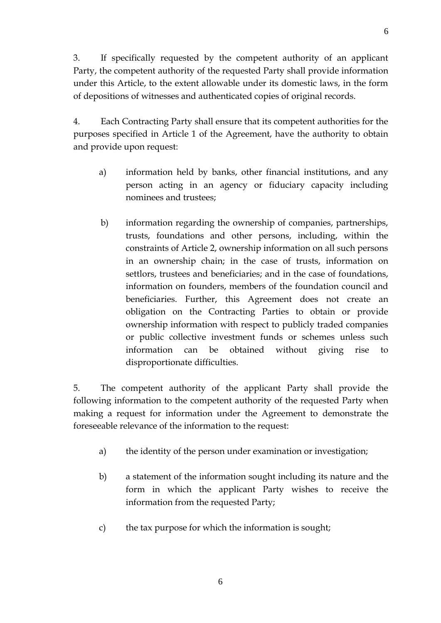3. If specifically requested by the competent authority of an applicant Party, the competent authority of the requested Party shall provide information under this Article, to the extent allowable under its domestic laws, in the form of depositions of witnesses and authenticated copies of original records.

4. Each Contracting Party shall ensure that its competent authorities for the purposes specified in Article 1 of the Agreement, have the authority to obtain and provide upon request:

- a) information held by banks, other financial institutions, and any person acting in an agency or fiduciary capacity including nominees and trustees;
- b) information regarding the ownership of companies, partnerships, trusts, foundations and other persons, including, within the constraints of Article 2, ownership information on all such persons in an ownership chain; in the case of trusts, information on settlors, trustees and beneficiaries; and in the case of foundations, information on founders, members of the foundation council and beneficiaries. Further, this Agreement does not create an obligation on the Contracting Parties to obtain or provide ownership information with respect to publicly traded companies or public collective investment funds or schemes unless such information can be obtained without giving rise to disproportionate difficulties.

5. The competent authority of the applicant Party shall provide the following information to the competent authority of the requested Party when making a request for information under the Agreement to demonstrate the foreseeable relevance of the information to the request:

- a) the identity of the person under examination or investigation;
- b) a statement of the information sought including its nature and the form in which the applicant Party wishes to receive the information from the requested Party;
- c) the tax purpose for which the information is sought;

6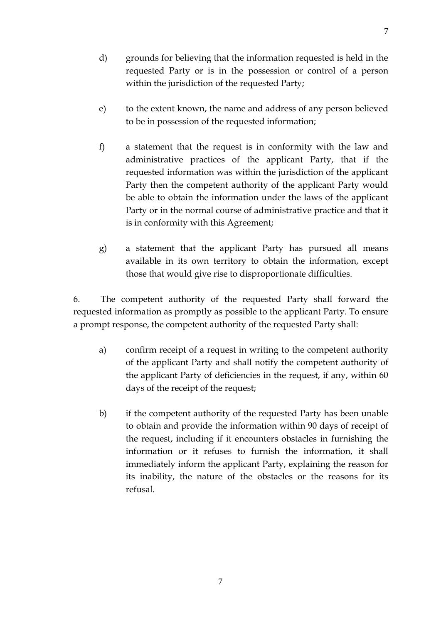- d) grounds for believing that the information requested is held in the
	- requested Party or is in the possession or control of a person within the jurisdiction of the requested Party;
- e) to the extent known, the name and address of any person believed to be in possession of the requested information;
- f) a statement that the request is in conformity with the law and administrative practices of the applicant Party, that if the requested information was within the jurisdiction of the applicant Party then the competent authority of the applicant Party would be able to obtain the information under the laws of the applicant Party or in the normal course of administrative practice and that it is in conformity with this Agreement;
- g) a statement that the applicant Party has pursued all means available in its own territory to obtain the information, except those that would give rise to disproportionate difficulties.

6. The competent authority of the requested Party shall forward the requested information as promptly as possible to the applicant Party. To ensure a prompt response, the competent authority of the requested Party shall:

- a) confirm receipt of a request in writing to the competent authority of the applicant Party and shall notify the competent authority of the applicant Party of deficiencies in the request, if any, within 60 days of the receipt of the request;
- b) if the competent authority of the requested Party has been unable to obtain and provide the information within 90 days of receipt of the request, including if it encounters obstacles in furnishing the information or it refuses to furnish the information, it shall immediately inform the applicant Party, explaining the reason for its inability, the nature of the obstacles or the reasons for its refusal.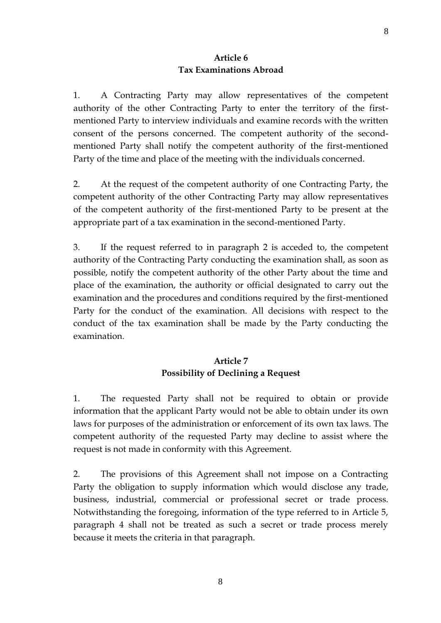#### **Article 6 Tax Examinations Abroad**

1. A Contracting Party may allow representatives of the competent authority of the other Contracting Party to enter the territory of the firstmentioned Party to interview individuals and examine records with the written consent of the persons concerned. The competent authority of the secondmentioned Party shall notify the competent authority of the first-mentioned Party of the time and place of the meeting with the individuals concerned.

2. At the request of the competent authority of one Contracting Party, the competent authority of the other Contracting Party may allow representatives of the competent authority of the first-mentioned Party to be present at the appropriate part of a tax examination in the second-mentioned Party.

3. If the request referred to in paragraph 2 is acceded to, the competent authority of the Contracting Party conducting the examination shall, as soon as possible, notify the competent authority of the other Party about the time and place of the examination, the authority or official designated to carry out the examination and the procedures and conditions required by the first-mentioned Party for the conduct of the examination. All decisions with respect to the conduct of the tax examination shall be made by the Party conducting the examination.

## **Article 7 Possibility of Declining a Request**

1. The requested Party shall not be required to obtain or provide information that the applicant Party would not be able to obtain under its own laws for purposes of the administration or enforcement of its own tax laws. The competent authority of the requested Party may decline to assist where the request is not made in conformity with this Agreement.

2. The provisions of this Agreement shall not impose on a Contracting Party the obligation to supply information which would disclose any trade, business, industrial, commercial or professional secret or trade process. Notwithstanding the foregoing, information of the type referred to in Article 5, paragraph 4 shall not be treated as such a secret or trade process merely because it meets the criteria in that paragraph.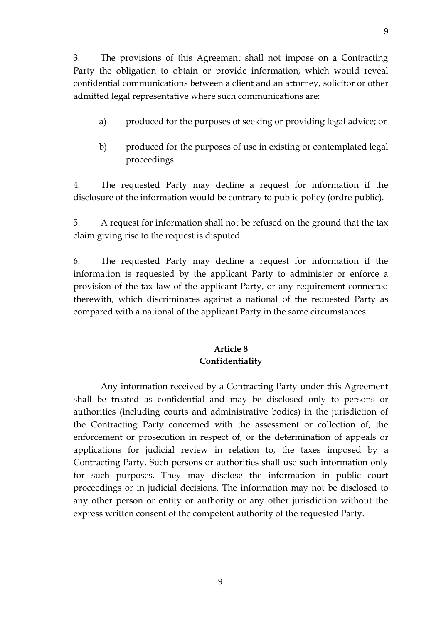3. The provisions of this Agreement shall not impose on a Contracting Party the obligation to obtain or provide information, which would reveal confidential communications between a client and an attorney, solicitor or other admitted legal representative where such communications are:

- a) produced for the purposes of seeking or providing legal advice; or
- b) produced for the purposes of use in existing or contemplated legal proceedings.

4. The requested Party may decline a request for information if the disclosure of the information would be contrary to public policy (ordre public).

5. A request for information shall not be refused on the ground that the tax claim giving rise to the request is disputed.

6. The requested Party may decline a request for information if the information is requested by the applicant Party to administer or enforce a provision of the tax law of the applicant Party, or any requirement connected therewith, which discriminates against a national of the requested Party as compared with a national of the applicant Party in the same circumstances.

# **Article 8 Confidentiality**

Any information received by a Contracting Party under this Agreement shall be treated as confidential and may be disclosed only to persons or authorities (including courts and administrative bodies) in the jurisdiction of the Contracting Party concerned with the assessment or collection of, the enforcement or prosecution in respect of, or the determination of appeals or applications for judicial review in relation to, the taxes imposed by a Contracting Party. Such persons or authorities shall use such information only for such purposes. They may disclose the information in public court proceedings or in judicial decisions. The information may not be disclosed to any other person or entity or authority or any other jurisdiction without the express written consent of the competent authority of the requested Party.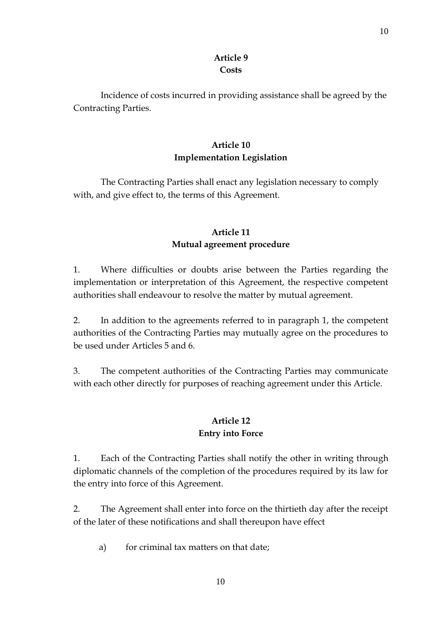## **Article 9 Costs**

Incidence of costs incurred in providing assistance shall be agreed by the Contracting Parties.

## **Article 10 Implementation Legislation**

The Contracting Parties shall enact any legislation necessary to comply with, and give effect to, the terms of this Agreement.

# **Article 11 Mutual agreement procedure**

1. Where difficulties or doubts arise between the Parties regarding the implementation or interpretation of this Agreement, the respective competent authorities shall endeavour to resolve the matter by mutual agreement.

2. In addition to the agreements referred to in paragraph 1, the competent authorities of the Contracting Parties may mutually agree on the procedures to be used under Articles 5 and 6.

3. The competent authorities of the Contracting Parties may communicate with each other directly for purposes of reaching agreement under this Article.

# **Article 12 Entry into Force**

1. Each of the Contracting Parties shall notify the other in writing through diplomatic channels of the completion of the procedures required by its law for the entry into force of this Agreement.

2. The Agreement shall enter into force on the thirtieth day after the receipt of the later of these notifications and shall thereupon have effect

a) for criminal tax matters on that date;

10